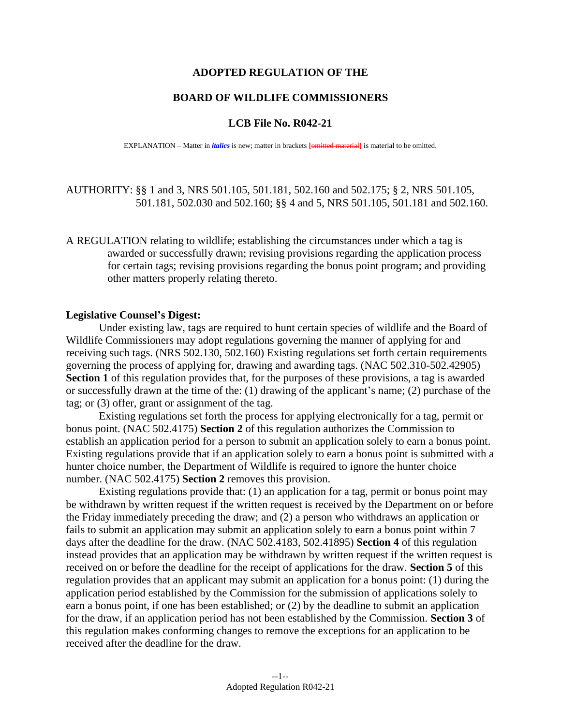## **ADOPTED REGULATION OF THE**

## **BOARD OF WILDLIFE COMMISSIONERS**

## **LCB File No. R042-21**

EXPLANATION – Matter in *italics* is new; matter in brackets **[**omitted material**]** is material to be omitted.

AUTHORITY: §§ 1 and 3, NRS 501.105, 501.181, 502.160 and 502.175; § 2, NRS 501.105, 501.181, 502.030 and 502.160; §§ 4 and 5, NRS 501.105, 501.181 and 502.160.

A REGULATION relating to wildlife; establishing the circumstances under which a tag is awarded or successfully drawn; revising provisions regarding the application process for certain tags; revising provisions regarding the bonus point program; and providing other matters properly relating thereto.

## **Legislative Counsel's Digest:**

Under existing law, tags are required to hunt certain species of wildlife and the Board of Wildlife Commissioners may adopt regulations governing the manner of applying for and receiving such tags. (NRS 502.130, 502.160) Existing regulations set forth certain requirements governing the process of applying for, drawing and awarding tags. (NAC 502.310-502.42905) **Section 1** of this regulation provides that, for the purposes of these provisions, a tag is awarded or successfully drawn at the time of the: (1) drawing of the applicant's name; (2) purchase of the tag; or (3) offer, grant or assignment of the tag.

Existing regulations set forth the process for applying electronically for a tag, permit or bonus point. (NAC 502.4175) **Section 2** of this regulation authorizes the Commission to establish an application period for a person to submit an application solely to earn a bonus point. Existing regulations provide that if an application solely to earn a bonus point is submitted with a hunter choice number, the Department of Wildlife is required to ignore the hunter choice number. (NAC 502.4175) **Section 2** removes this provision.

Existing regulations provide that: (1) an application for a tag, permit or bonus point may be withdrawn by written request if the written request is received by the Department on or before the Friday immediately preceding the draw; and (2) a person who withdraws an application or fails to submit an application may submit an application solely to earn a bonus point within 7 days after the deadline for the draw. (NAC 502.4183, 502.41895) **Section 4** of this regulation instead provides that an application may be withdrawn by written request if the written request is received on or before the deadline for the receipt of applications for the draw. **Section 5** of this regulation provides that an applicant may submit an application for a bonus point: (1) during the application period established by the Commission for the submission of applications solely to earn a bonus point, if one has been established; or (2) by the deadline to submit an application for the draw, if an application period has not been established by the Commission. **Section 3** of this regulation makes conforming changes to remove the exceptions for an application to be received after the deadline for the draw.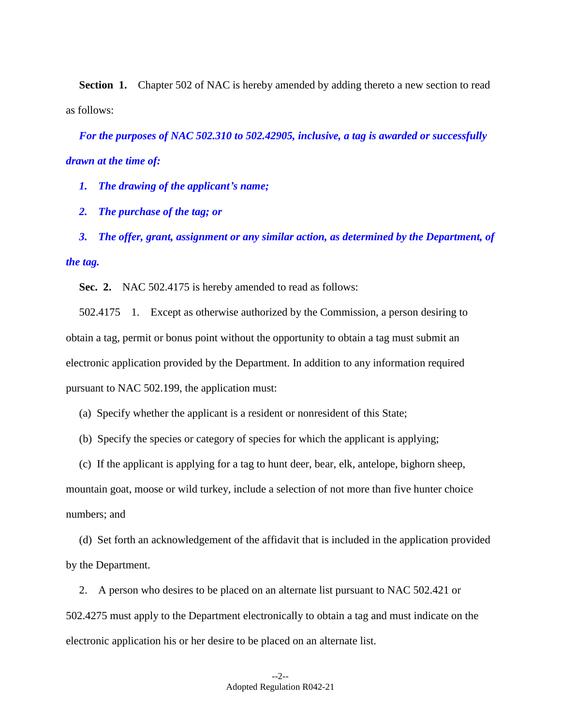**Section 1.** Chapter 502 of NAC is hereby amended by adding thereto a new section to read as follows:

*For the purposes of NAC 502.310 to 502.42905, inclusive, a tag is awarded or successfully drawn at the time of:*

*1. The drawing of the applicant's name;*

*2. The purchase of the tag; or*

*3. The offer, grant, assignment or any similar action, as determined by the Department, of the tag.*

**Sec. 2.** NAC 502.4175 is hereby amended to read as follows:

502.4175 1. Except as otherwise authorized by the Commission, a person desiring to obtain a tag, permit or bonus point without the opportunity to obtain a tag must submit an electronic application provided by the Department. In addition to any information required pursuant to NAC 502.199, the application must:

(a) Specify whether the applicant is a resident or nonresident of this State;

- (b) Specify the species or category of species for which the applicant is applying;
- (c) If the applicant is applying for a tag to hunt deer, bear, elk, antelope, bighorn sheep,

mountain goat, moose or wild turkey, include a selection of not more than five hunter choice numbers; and

(d) Set forth an acknowledgement of the affidavit that is included in the application provided by the Department.

2. A person who desires to be placed on an alternate list pursuant to NAC 502.421 or 502.4275 must apply to the Department electronically to obtain a tag and must indicate on the electronic application his or her desire to be placed on an alternate list.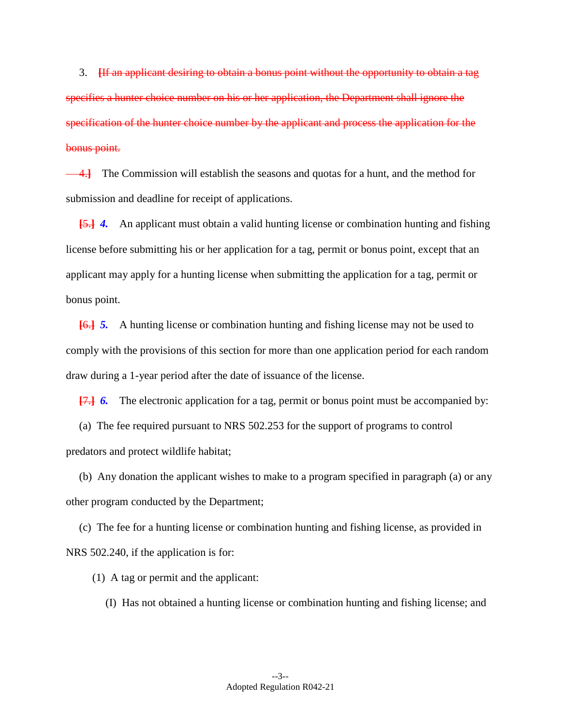3. **[**If an applicant desiring to obtain a bonus point without the opportunity to obtain a tag specifies a hunter choice number on his or her application, the Department shall ignore the specification of the hunter choice number by the applicant and process the application for the bonus point.

4.**]** The Commission will establish the seasons and quotas for a hunt, and the method for submission and deadline for receipt of applications.

**[**5.**]** *4.* An applicant must obtain a valid hunting license or combination hunting and fishing license before submitting his or her application for a tag, permit or bonus point, except that an applicant may apply for a hunting license when submitting the application for a tag, permit or bonus point.

**[**6.**]** *5.* A hunting license or combination hunting and fishing license may not be used to comply with the provisions of this section for more than one application period for each random draw during a 1-year period after the date of issuance of the license.

**[**7.**]** *6.* The electronic application for a tag, permit or bonus point must be accompanied by:

(a) The fee required pursuant to NRS 502.253 for the support of programs to control predators and protect wildlife habitat;

(b) Any donation the applicant wishes to make to a program specified in paragraph (a) or any other program conducted by the Department;

(c) The fee for a hunting license or combination hunting and fishing license, as provided in NRS 502.240, if the application is for:

(1) A tag or permit and the applicant:

(I) Has not obtained a hunting license or combination hunting and fishing license; and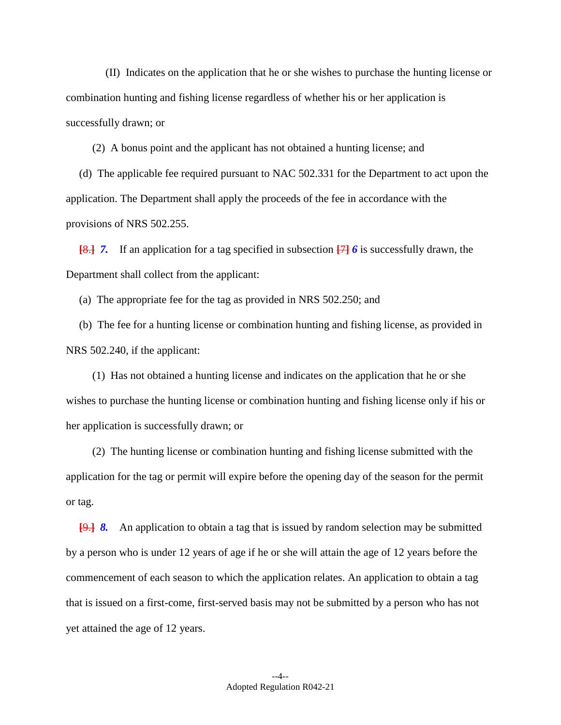(II) Indicates on the application that he or she wishes to purchase the hunting license or combination hunting and fishing license regardless of whether his or her application is successfully drawn; or

(2) A bonus point and the applicant has not obtained a hunting license; and

(d) The applicable fee required pursuant to NAC 502.331 for the Department to act upon the application. The Department shall apply the proceeds of the fee in accordance with the provisions of NRS 502.255.

**[**8.**]** *7.* If an application for a tag specified in subsection **[**7**]** *6* is successfully drawn, the Department shall collect from the applicant:

(a) The appropriate fee for the tag as provided in NRS 502.250; and

(b) The fee for a hunting license or combination hunting and fishing license, as provided in NRS 502.240, if the applicant:

(1) Has not obtained a hunting license and indicates on the application that he or she wishes to purchase the hunting license or combination hunting and fishing license only if his or her application is successfully drawn; or

(2) The hunting license or combination hunting and fishing license submitted with the application for the tag or permit will expire before the opening day of the season for the permit or tag.

**[**9.**]** *8.* An application to obtain a tag that is issued by random selection may be submitted by a person who is under 12 years of age if he or she will attain the age of 12 years before the commencement of each season to which the application relates. An application to obtain a tag that is issued on a first-come, first-served basis may not be submitted by a person who has not yet attained the age of 12 years.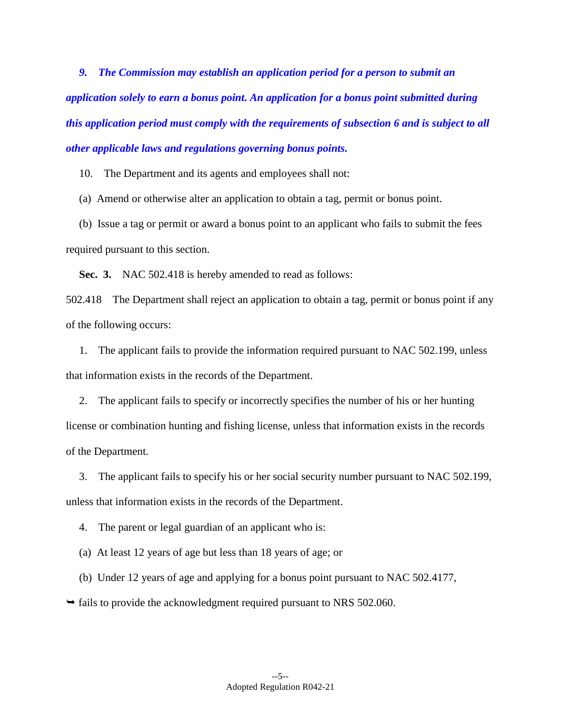*9. The Commission may establish an application period for a person to submit an application solely to earn a bonus point. An application for a bonus point submitted during this application period must comply with the requirements of subsection 6 and is subject to all other applicable laws and regulations governing bonus points.*

10. The Department and its agents and employees shall not:

(a) Amend or otherwise alter an application to obtain a tag, permit or bonus point.

(b) Issue a tag or permit or award a bonus point to an applicant who fails to submit the fees required pursuant to this section.

**Sec. 3.** NAC 502.418 is hereby amended to read as follows:

502.418 The Department shall reject an application to obtain a tag, permit or bonus point if any of the following occurs:

1. The applicant fails to provide the information required pursuant to NAC 502.199, unless that information exists in the records of the Department.

2. The applicant fails to specify or incorrectly specifies the number of his or her hunting license or combination hunting and fishing license, unless that information exists in the records of the Department.

3. The applicant fails to specify his or her social security number pursuant to NAC 502.199, unless that information exists in the records of the Department.

4. The parent or legal guardian of an applicant who is:

(a) At least 12 years of age but less than 18 years of age; or

(b) Under 12 years of age and applying for a bonus point pursuant to NAC 502.4177,

 $\rightarrow$  fails to provide the acknowledgment required pursuant to NRS 502.060.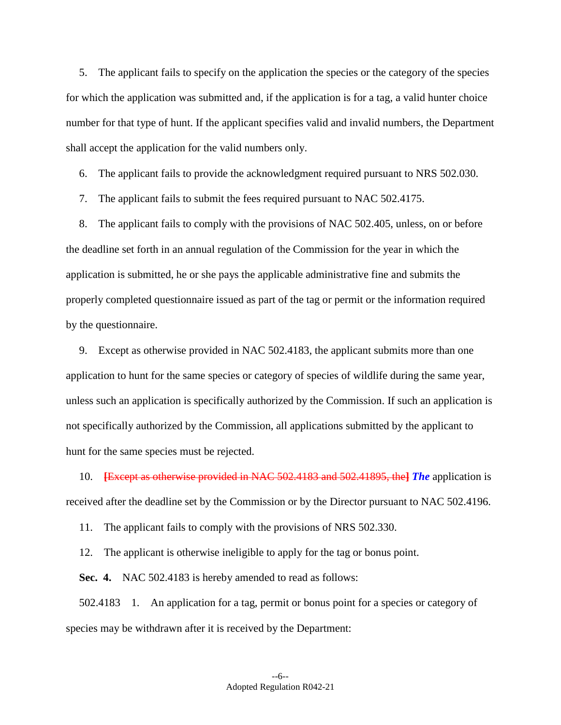5. The applicant fails to specify on the application the species or the category of the species for which the application was submitted and, if the application is for a tag, a valid hunter choice number for that type of hunt. If the applicant specifies valid and invalid numbers, the Department shall accept the application for the valid numbers only.

6. The applicant fails to provide the acknowledgment required pursuant to NRS 502.030.

7. The applicant fails to submit the fees required pursuant to NAC 502.4175.

8. The applicant fails to comply with the provisions of NAC 502.405, unless, on or before the deadline set forth in an annual regulation of the Commission for the year in which the application is submitted, he or she pays the applicable administrative fine and submits the properly completed questionnaire issued as part of the tag or permit or the information required by the questionnaire.

9. Except as otherwise provided in NAC 502.4183, the applicant submits more than one application to hunt for the same species or category of species of wildlife during the same year, unless such an application is specifically authorized by the Commission. If such an application is not specifically authorized by the Commission, all applications submitted by the applicant to hunt for the same species must be rejected.

10. **[**Except as otherwise provided in NAC 502.4183 and 502.41895, the**]** *The* application is received after the deadline set by the Commission or by the Director pursuant to NAC 502.4196.

11. The applicant fails to comply with the provisions of NRS 502.330.

12. The applicant is otherwise ineligible to apply for the tag or bonus point.

**Sec. 4.** NAC 502.4183 is hereby amended to read as follows:

502.4183 1. An application for a tag, permit or bonus point for a species or category of species may be withdrawn after it is received by the Department: